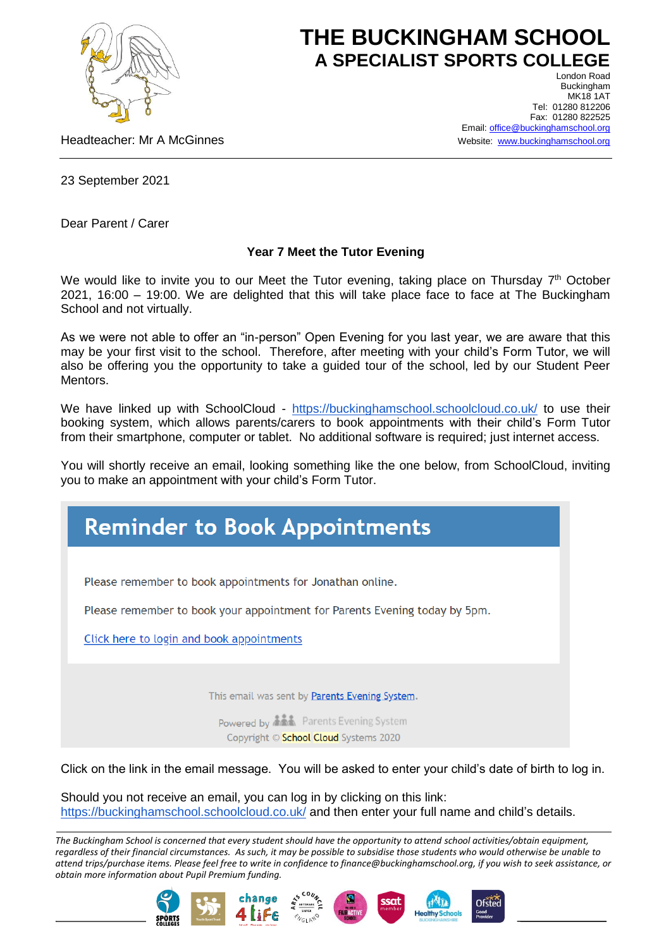

## **THE BUCKINGHAM SCHOOL A SPECIALIST SPORTS COLLEGE** London Road

Headteacher: Mr A McGinnes

Buckingham **MK18 1AT** Tel: 01280 812206 Fax: 01280 822525 Email[: office@buckinghamschool.org](mailto:office@buckinghamschool.org) Website: [www.buckinghamschool.org](http://www.buckinghamschool.org/)

23 September 2021

Dear Parent / Carer

## **Year 7 Meet the Tutor Evening**

We would like to invite you to our Meet the Tutor evening, taking place on Thursday 7<sup>th</sup> October 2021, 16:00 – 19:00. We are delighted that this will take place face to face at The Buckingham School and not virtually.

As we were not able to offer an "in-person" Open Evening for you last year, we are aware that this may be your first visit to the school. Therefore, after meeting with your child's Form Tutor, we will also be offering you the opportunity to take a guided tour of the school, led by our Student Peer **Mentors** 

We have linked up with SchoolCloud - <https://buckinghamschool.schoolcloud.co.uk/> to use their booking system, which allows parents/carers to book appointments with their child's Form Tutor from their smartphone, computer or tablet. No additional software is required; just internet access.

You will shortly receive an email, looking something like the one below, from SchoolCloud, inviting you to make an appointment with your child's Form Tutor.



Click on the link in the email message. You will be asked to enter your child's date of birth to log in.

Should you not receive an email, you can log in by clicking on this link: <https://buckinghamschool.schoolcloud.co.uk/> and then enter your full name and child's details.

*The Buckingham School is concerned that every student should have the opportunity to attend school activities/obtain equipment, regardless of their financial circumstances. As such, it may be possible to subsidise those students who would otherwise be unable to attend trips/purchase items. Please feel free to write in confidence to finance@buckinghamschool.org, if you wish to seek assistance, or obtain more information about Pupil Premium funding.*